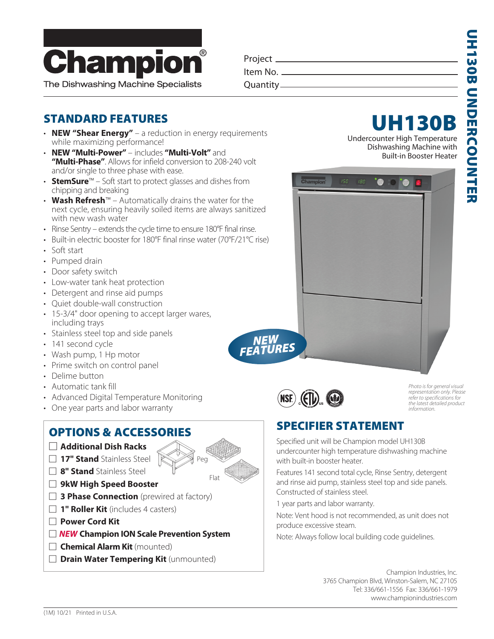

Project Item No.

Quantity

## STANDARD FEATURES

- **NEW "Shear Energy"**  a reduction in energy requirements while maximizing performance!
- **NEW "Multi-Power"**  includes **"Multi-Volt"** and **"Multi-Phase"**. Allows for infield conversion to 208-240 volt and/or single to three phase with ease.
- **StemSure**™ Soft start to protect glasses and dishes from chipping and breaking
- **Wash Refresh**™ Automatically drains the water for the next cycle, ensuring heavily soiled items are always sanitized with new wash water
- Rinse Sentry extends the cycle time to ensure 180°F final rinse.
- Built-in electric booster for 180°F final rinse water (70°F/21°C rise)
- Soft start
- Pumped drain
- Door safety switch
- Low-water tank heat protection
- Detergent and rinse aid pumps
- Quiet double-wall construction
- 15-3/4" door opening to accept larger wares, including trays
- Stainless steel top and side panels
- 141 second cycle
- Wash pump, 1 Hp motor
- Prime switch on control panel
- Delime button
- Automatic tank fill
- Advanced Digital Temperature Monitoring
- One year parts and labor warranty

## OPTIONS & ACCESSORIES

- : **Additional Dish Racks**
- **17" Stand** Stainless Steel
- : **8" Stand** Stainless Steel
- : **9kW High Speed Booster**
- **3 Phase Connection** (prewired at factory)
- **1" Roller Kit** (includes 4 casters)
- : **Power Cord Kit**
- : *NEW* **Champion ION Scale Prevention System**
- **Chemical Alarm Kit** (mounted)
- **Drain Water Tempering Kit** (unmounted)



Undercounter High Temperature Dishwashing Machine with Built-in Booster Heater



Champion

*NEW FEATURES*

*Photo is for general visual representation only. Please refer to specifications for the latest detailed product information.*

## SPECIFIER STATEMENT

Specified unit will be Champion model UH130B undercounter high temperature dishwashing machine with built-in booster heater.

Features 141 second total cycle, Rinse Sentry, detergent and rinse aid pump, stainless steel top and side panels. Constructed of stainless steel.

1 year parts and labor warranty.

Note: Vent hood is not recommended, as unit does not produce excessive steam.

Note: Always follow local building code guidelines.

Champion Industries, Inc. 3765 Champion Blvd, Winston-Salem, NC 27105 Tel: 336/661-1556 Fax: 336/661-1979 www.championindustries.com

Peg

Flat